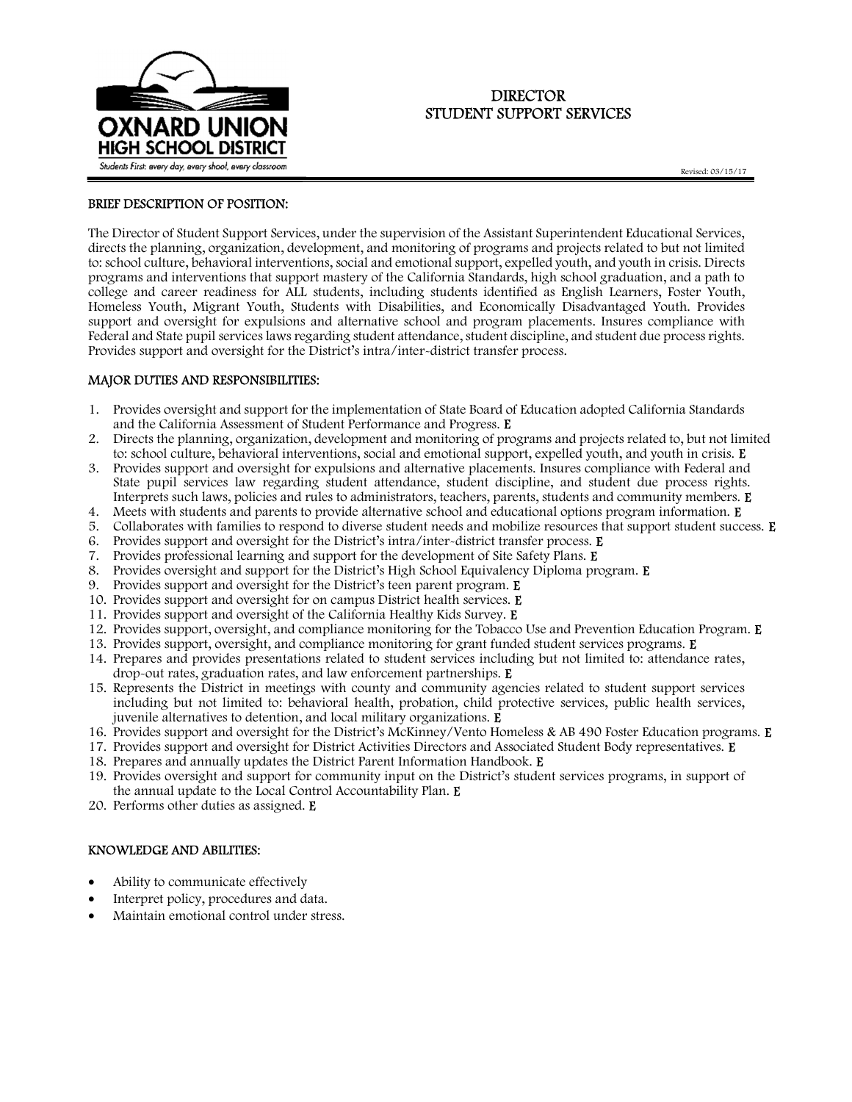

# DIRECTOR STUDENT SUPPORT SERVICES

Revised: 03/15/17

### BRIEF DESCRIPTION OF POSITION:

The Director of Student Support Services, under the supervision of the Assistant Superintendent Educational Services, directs the planning, organization, development, and monitoring of programs and projects related to but not limited to: school culture, behavioral interventions, social and emotional support, expelled youth, and youth in crisis. Directs programs and interventions that support mastery of the California Standards, high school graduation, and a path to college and career readiness for ALL students, including students identified as English Learners, Foster Youth, Homeless Youth, Migrant Youth, Students with Disabilities, and Economically Disadvantaged Youth. Provides support and oversight for expulsions and alternative school and program placements. Insures compliance with Federal and State pupil services laws regarding student attendance, student discipline, and student due process rights. Provides support and oversight for the District's intra/inter-district transfer process.

### MAJOR DUTIES AND RESPONSIBILITIES:

- 1. Provides oversight and support for the implementation of State Board of Education adopted California Standards and the California Assessment of Student Performance and Progress. E
- 2. Directs the planning, organization, development and monitoring of programs and projects related to, but not limited to: school culture, behavioral interventions, social and emotional support, expelled youth, and youth in crisis. E
- 3. Provides support and oversight for expulsions and alternative placements. Insures compliance with Federal and State pupil services law regarding student attendance, student discipline, and student due process rights. Interprets such laws, policies and rules to administrators, teachers, parents, students and community members. E
- 4. Meets with students and parents to provide alternative school and educational options program information. E
- 5. Collaborates with families to respond to diverse student needs and mobilize resources that support student success. E
- 6. Provides support and oversight for the District's intra/inter-district transfer process. E
- 7. Provides professional learning and support for the development of Site Safety Plans. E
- 8. Provides oversight and support for the District's High School Equivalency Diploma program. E
- 9. Provides support and oversight for the District's teen parent program. E
- 10. Provides support and oversight for on campus District health services. E
- 11. Provides support and oversight of the California Healthy Kids Survey. E
- 12. Provides support, oversight, and compliance monitoring for the Tobacco Use and Prevention Education Program. E
- 13. Provides support, oversight, and compliance monitoring for grant funded student services programs. E
- 14. Prepares and provides presentations related to student services including but not limited to: attendance rates, drop-out rates, graduation rates, and law enforcement partnerships. E
- 15. Represents the District in meetings with county and community agencies related to student support services including but not limited to: behavioral health, probation, child protective services, public health services, juvenile alternatives to detention, and local military organizations. E
- 16. Provides support and oversight for the District's McKinney/Vento Homeless & AB 490 Foster Education programs. E
- 17. Provides support and oversight for District Activities Directors and Associated Student Body representatives. E
- 18. Prepares and annually updates the District Parent Information Handbook. E
- 19. Provides oversight and support for community input on the District's student services programs, in support of the annual update to the Local Control Accountability Plan. E
- 20. Performs other duties as assigned. E

### KNOWLEDGE AND ABILITIES:

- Ability to communicate effectively
- Interpret policy, procedures and data.
- Maintain emotional control under stress.